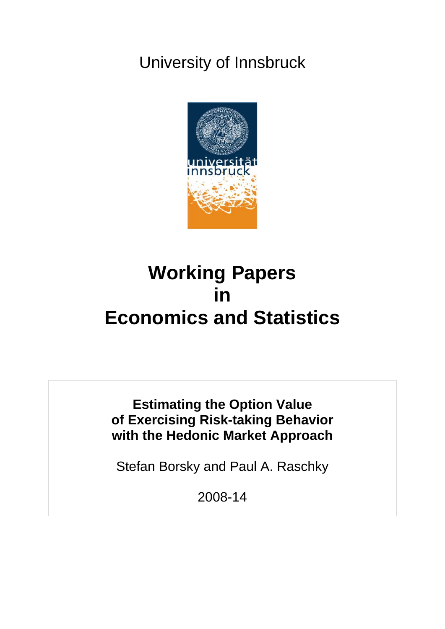## University of Innsbruck



# **Working Papers in Economics and Statistics**

**Estimating the Option Value of Exercising Risk-taking Behavior with the Hedonic Market Approach** 

Stefan Borsky and Paul A. Raschky

2008-14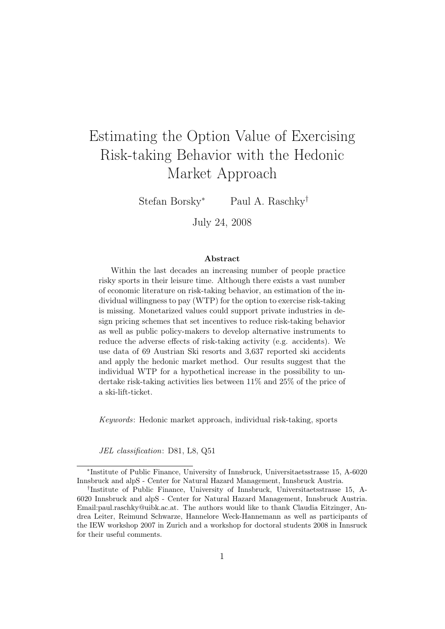## <span id="page-1-0"></span>Estimating the Option Value of Exercising Risk-taking Behavior with the Hedonic Market Approach

Stefan Borsky<sup>∗</sup> Paul A. Raschky†

July 24, 2008

#### Abstract

Within the last decades an increasing number of people practice risky sports in their leisure time. Although there exists a vast number of economic literature on risk-taking behavior, an estimation of the individual willingness to pay (WTP) for the option to exercise risk-taking is missing. Monetarized values could support private industries in design pricing schemes that set incentives to reduce risk-taking behavior as well as public policy-makers to develop alternative instruments to reduce the adverse effects of risk-taking activity (e.g. accidents). We use data of 69 Austrian Ski resorts and 3,637 reported ski accidents and apply the hedonic market method. Our results suggest that the individual WTP for a hypothetical increase in the possibility to undertake risk-taking activities lies between 11% and 25% of the price of a ski-lift-ticket.

Keywords: Hedonic market approach, individual risk-taking, sports

JEL classification: D81, L8, Q51

<sup>∗</sup> Institute of Public Finance, University of Innsbruck, Universitaetsstrasse 15, A-6020 Innsbruck and alpS - Center for Natural Hazard Management, Innsbruck Austria.

<sup>†</sup> Institute of Public Finance, University of Innsbruck, Universitaetsstrasse 15, A-6020 Innsbruck and alpS - Center for Natural Hazard Management, Innsbruck Austria. Email:paul.raschky@uibk.ac.at. The authors would like to thank Claudia Eitzinger, Andrea Leiter, Reimund Schwarze, Hannelore Weck-Hannemann as well as participants of the IEW workshop 2007 in Zurich and a workshop for doctoral students 2008 in Innsruck for their useful comments.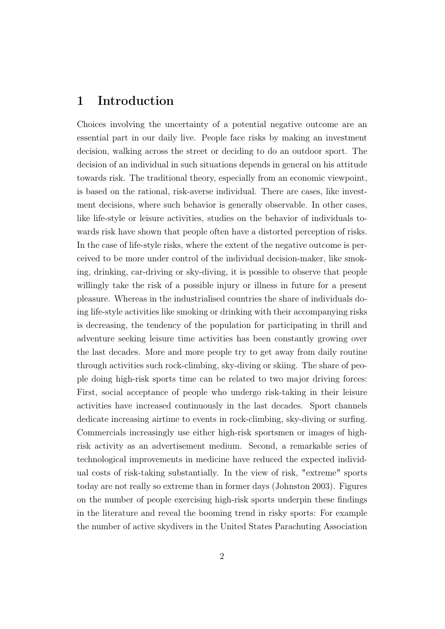## 1 Introduction

Choices involving the uncertainty of a potential negative outcome are an essential part in our daily live. People face risks by making an investment decision, walking across the street or deciding to do an outdoor sport. The decision of an individual in such situations depends in general on his attitude towards risk. The traditional theory, especially from an economic viewpoint, is based on the rational, risk-averse individual. There are cases, like investment decisions, where such behavior is generally observable. In other cases, like life-style or leisure activities, studies on the behavior of individuals towards risk have shown that people often have a distorted perception of risks. In the case of life-style risks, where the extent of the negative outcome is perceived to be more under control of the individual decision-maker, like smoking, drinking, car-driving or sky-diving, it is possible to observe that people willingly take the risk of a possible injury or illness in future for a present pleasure. Whereas in the industrialised countries the share of individuals doing life-style activities like smoking or drinking with their accompanying risks is decreasing, the tendency of the population for participating in thrill and adventure seeking leisure time activities has been constantly growing over the last decades. More and more people try to get away from daily routine through activities such rock-climbing, sky-diving or skiing. The share of people doing high-risk sports time can be related to two major driving forces: First, social acceptance of people who undergo risk-taking in their leisure activities have increased continuously in the last decades. Sport channels dedicate increasing airtime to events in rock-climbing, sky-diving or surfing. Commercials increasingly use either high-risk sportsmen or images of highrisk activity as an advertisement medium. Second, a remarkable series of technological improvements in medicine have reduced the expected individual costs of risk-taking substantially. In the view of risk, "extreme" sports today are not really so extreme than in former days (Johnston 2003). Figures on the number of people exercising high-risk sports underpin these findings in the literature and reveal the booming trend in risky sports: For example the number of active skydivers in the United States Parachuting Association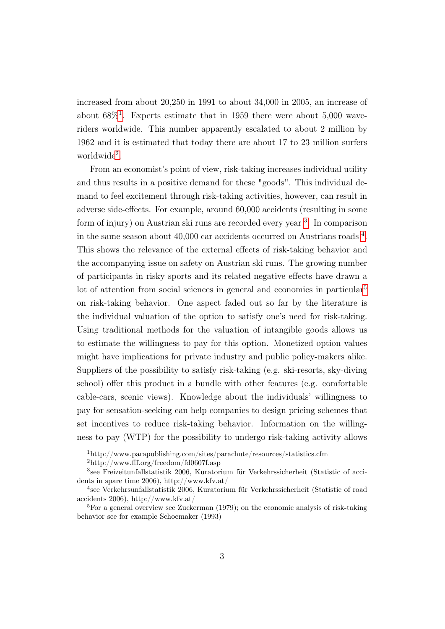increased from about 20,250 in 1991 to about 34,000 in 2005, an increase of about  $68\%$ <sup>[1](#page-1-0)</sup>. Experts estimate that in 1959 there were about 5,000 waveriders worldwide. This number apparently escalated to about 2 million by 1962 and it is estimated that today there are about 17 to 23 million surfers worldwide<sup>[2](#page-1-0)</sup>.

From an economist's point of view, risk-taking increases individual utility and thus results in a positive demand for these "goods". This individual demand to feel excitement through risk-taking activities, however, can result in adverse side-effects. For example, around 60,000 accidents (resulting in some form of injury) on Austrian ski runs are recorded every year <sup>[3](#page-1-0)</sup>. In comparison in the same season about 40,000 car accidents occurred on Austrians roads [4](#page-1-0) . This shows the relevance of the external effects of risk-taking behavior and the accompanying issue on safety on Austrian ski runs. The growing number of participants in risky sports and its related negative effects have drawn a lot of attention from social sciences in general and economics in particular<sup>[5](#page-1-0)</sup> on risk-taking behavior. One aspect faded out so far by the literature is the individual valuation of the option to satisfy one's need for risk-taking. Using traditional methods for the valuation of intangible goods allows us to estimate the willingness to pay for this option. Monetized option values might have implications for private industry and public policy-makers alike. Suppliers of the possibility to satisfy risk-taking (e.g. ski-resorts, sky-diving school) offer this product in a bundle with other features (e.g. comfortable cable-cars, scenic views). Knowledge about the individuals' willingness to pay for sensation-seeking can help companies to design pricing schemes that set incentives to reduce risk-taking behavior. Information on the willingness to pay (WTP) for the possibility to undergo risk-taking activity allows

<sup>1</sup>http://www.parapublishing.com/sites/parachute/resources/statistics.cfm

<sup>2</sup>http://www.fff.org/freedom/fd0607f.asp

<sup>3</sup> see Freizeitunfallstatistik 2006, Kuratorium für Verkehrssicherheit (Statistic of accidents in spare time 2006), http://www.kfv.at/

<sup>4</sup> see Verkehrsunfallstatistik 2006, Kuratorium für Verkehrssicherheit (Statistic of road accidents 2006), http://www.kfv.at/

<sup>&</sup>lt;sup>5</sup>For a general overview see Zuckerman  $(1979)$ ; on the economic analysis of risk-taking behavior see for example Schoemaker (1993)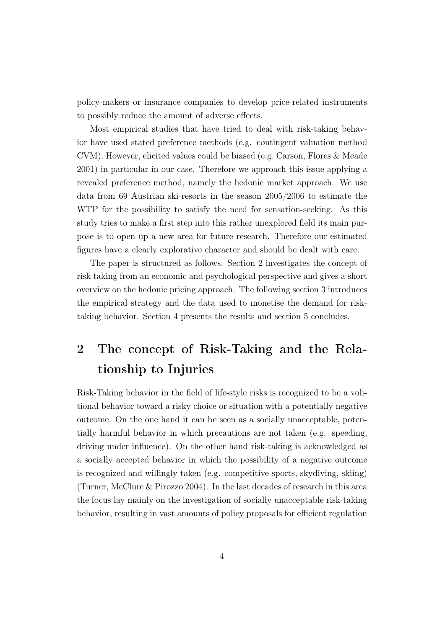policy-makers or insurance companies to develop price-related instruments to possibly reduce the amount of adverse effects.

Most empirical studies that have tried to deal with risk-taking behavior have used stated preference methods (e.g. contingent valuation method CVM). However, elicited values could be biased (e.g. Carson, Flores & Meade 2001) in particular in our case. Therefore we approach this issue applying a revealed preference method, namely the hedonic market approach. We use data from 69 Austrian ski-resorts in the season 2005/2006 to estimate the WTP for the possibility to satisfy the need for sensation-seeking. As this study tries to make a first step into this rather unexplored field its main purpose is to open up a new area for future research. Therefore our estimated figures have a clearly explorative character and should be dealt with care.

The paper is structured as follows. Section 2 investigates the concept of risk taking from an economic and psychological perspective and gives a short overview on the hedonic pricing approach. The following section 3 introduces the empirical strategy and the data used to monetise the demand for risktaking behavior. Section 4 presents the results and section 5 concludes.

## 2 The concept of Risk-Taking and the Relationship to Injuries

Risk-Taking behavior in the field of life-style risks is recognized to be a volitional behavior toward a risky choice or situation with a potentially negative outcome. On the one hand it can be seen as a socially unacceptable, potentially harmful behavior in which precautions are not taken (e.g. speeding, driving under influence). On the other hand risk-taking is acknowledged as a socially accepted behavior in which the possibility of a negative outcome is recognized and willingly taken (e.g. competitive sports, skydiving, skiing) (Turner, McClure & Pirozzo 2004). In the last decades of research in this area the focus lay mainly on the investigation of socially unacceptable risk-taking behavior, resulting in vast amounts of policy proposals for efficient regulation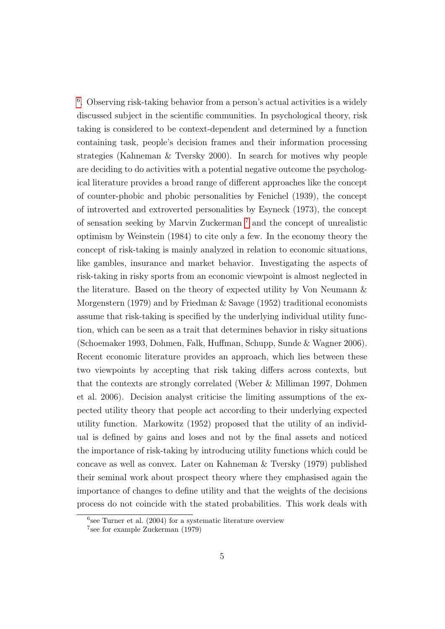<sup>[6](#page-1-0)</sup>. Observing risk-taking behavior from a person's actual activities is a widely discussed subject in the scientific communities. In psychological theory, risk taking is considered to be context-dependent and determined by a function containing task, people's decision frames and their information processing strategies (Kahneman & Tversky 2000). In search for motives why people are deciding to do activities with a potential negative outcome the psychological literature provides a broad range of different approaches like the concept of counter-phobic and phobic personalities by Fenichel (1939), the concept of introverted and extroverted personalities by Esyneck (1973), the concept of sensation seeking by Marvin Zuckerman [7](#page-1-0) and the concept of unrealistic optimism by Weinstein (1984) to cite only a few. In the economy theory the concept of risk-taking is mainly analyzed in relation to economic situations, like gambles, insurance and market behavior. Investigating the aspects of risk-taking in risky sports from an economic viewpoint is almost neglected in the literature. Based on the theory of expected utility by Von Neumann & Morgenstern (1979) and by Friedman & Savage (1952) traditional economists assume that risk-taking is specified by the underlying individual utility function, which can be seen as a trait that determines behavior in risky situations (Schoemaker 1993, Dohmen, Falk, Huffman, Schupp, Sunde & Wagner 2006). Recent economic literature provides an approach, which lies between these two viewpoints by accepting that risk taking differs across contexts, but that the contexts are strongly correlated (Weber & Milliman 1997, Dohmen et al. 2006). Decision analyst criticise the limiting assumptions of the expected utility theory that people act according to their underlying expected utility function. Markowitz (1952) proposed that the utility of an individual is defined by gains and loses and not by the final assets and noticed the importance of risk-taking by introducing utility functions which could be concave as well as convex. Later on Kahneman & Tversky (1979) published their seminal work about prospect theory where they emphasised again the importance of changes to define utility and that the weights of the decisions process do not coincide with the stated probabilities. This work deals with

<sup>6</sup> see Turner et al. (2004) for a systematic literature overview

<sup>7</sup> see for example Zuckerman (1979)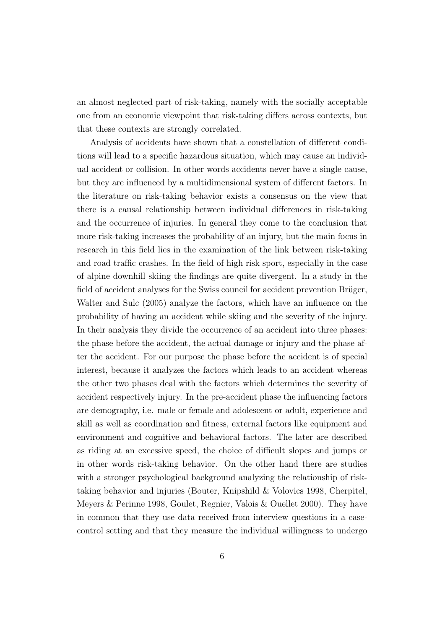an almost neglected part of risk-taking, namely with the socially acceptable one from an economic viewpoint that risk-taking differs across contexts, but that these contexts are strongly correlated.

Analysis of accidents have shown that a constellation of different conditions will lead to a specific hazardous situation, which may cause an individual accident or collision. In other words accidents never have a single cause, but they are influenced by a multidimensional system of different factors. In the literature on risk-taking behavior exists a consensus on the view that there is a causal relationship between individual differences in risk-taking and the occurrence of injuries. In general they come to the conclusion that more risk-taking increases the probability of an injury, but the main focus in research in this field lies in the examination of the link between risk-taking and road traffic crashes. In the field of high risk sport, especially in the case of alpine downhill skiing the findings are quite divergent. In a study in the field of accident analyses for the Swiss council for accident prevention Brüger, Walter and Sulc (2005) analyze the factors, which have an influence on the probability of having an accident while skiing and the severity of the injury. In their analysis they divide the occurrence of an accident into three phases: the phase before the accident, the actual damage or injury and the phase after the accident. For our purpose the phase before the accident is of special interest, because it analyzes the factors which leads to an accident whereas the other two phases deal with the factors which determines the severity of accident respectively injury. In the pre-accident phase the influencing factors are demography, i.e. male or female and adolescent or adult, experience and skill as well as coordination and fitness, external factors like equipment and environment and cognitive and behavioral factors. The later are described as riding at an excessive speed, the choice of difficult slopes and jumps or in other words risk-taking behavior. On the other hand there are studies with a stronger psychological background analyzing the relationship of risktaking behavior and injuries (Bouter, Knipshild & Volovics 1998, Cherpitel, Meyers & Perinne 1998, Goulet, Regnier, Valois & Ouellet 2000). They have in common that they use data received from interview questions in a casecontrol setting and that they measure the individual willingness to undergo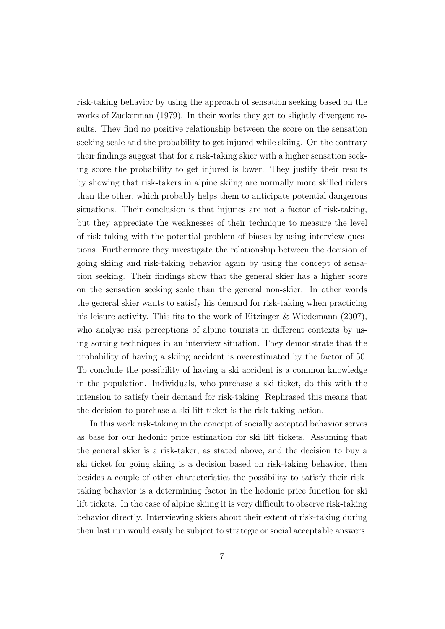risk-taking behavior by using the approach of sensation seeking based on the works of Zuckerman (1979). In their works they get to slightly divergent results. They find no positive relationship between the score on the sensation seeking scale and the probability to get injured while skiing. On the contrary their findings suggest that for a risk-taking skier with a higher sensation seeking score the probability to get injured is lower. They justify their results by showing that risk-takers in alpine skiing are normally more skilled riders than the other, which probably helps them to anticipate potential dangerous situations. Their conclusion is that injuries are not a factor of risk-taking, but they appreciate the weaknesses of their technique to measure the level of risk taking with the potential problem of biases by using interview questions. Furthermore they investigate the relationship between the decision of going skiing and risk-taking behavior again by using the concept of sensation seeking. Their findings show that the general skier has a higher score on the sensation seeking scale than the general non-skier. In other words the general skier wants to satisfy his demand for risk-taking when practicing his leisure activity. This fits to the work of Eitzinger & Wiedemann (2007), who analyse risk perceptions of alpine tourists in different contexts by using sorting techniques in an interview situation. They demonstrate that the probability of having a skiing accident is overestimated by the factor of 50. To conclude the possibility of having a ski accident is a common knowledge in the population. Individuals, who purchase a ski ticket, do this with the intension to satisfy their demand for risk-taking. Rephrased this means that the decision to purchase a ski lift ticket is the risk-taking action.

In this work risk-taking in the concept of socially accepted behavior serves as base for our hedonic price estimation for ski lift tickets. Assuming that the general skier is a risk-taker, as stated above, and the decision to buy a ski ticket for going skiing is a decision based on risk-taking behavior, then besides a couple of other characteristics the possibility to satisfy their risktaking behavior is a determining factor in the hedonic price function for ski lift tickets. In the case of alpine skiing it is very difficult to observe risk-taking behavior directly. Interviewing skiers about their extent of risk-taking during their last run would easily be subject to strategic or social acceptable answers.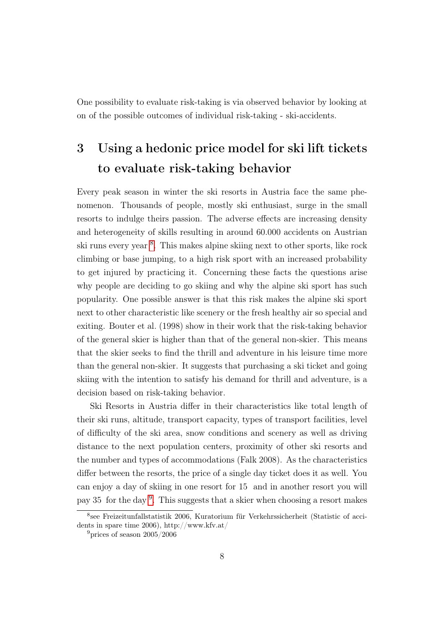One possibility to evaluate risk-taking is via observed behavior by looking at on of the possible outcomes of individual risk-taking - ski-accidents.

## 3 Using a hedonic price model for ski lift tickets to evaluate risk-taking behavior

Every peak season in winter the ski resorts in Austria face the same phenomenon. Thousands of people, mostly ski enthusiast, surge in the small resorts to indulge theirs passion. The adverse effects are increasing density and heterogeneity of skills resulting in around 60.000 accidents on Austrian ski runs every year <sup>[8](#page-1-0)</sup>. This makes alpine skiing next to other sports, like rock climbing or base jumping, to a high risk sport with an increased probability to get injured by practicing it. Concerning these facts the questions arise why people are deciding to go skiing and why the alpine ski sport has such popularity. One possible answer is that this risk makes the alpine ski sport next to other characteristic like scenery or the fresh healthy air so special and exiting. Bouter et al. (1998) show in their work that the risk-taking behavior of the general skier is higher than that of the general non-skier. This means that the skier seeks to find the thrill and adventure in his leisure time more than the general non-skier. It suggests that purchasing a ski ticket and going skiing with the intention to satisfy his demand for thrill and adventure, is a decision based on risk-taking behavior.

Ski Resorts in Austria differ in their characteristics like total length of their ski runs, altitude, transport capacity, types of transport facilities, level of difficulty of the ski area, snow conditions and scenery as well as driving distance to the next population centers, proximity of other ski resorts and the number and types of accommodations (Falk 2008). As the characteristics differ between the resorts, the price of a single day ticket does it as well. You can enjoy a day of skiing in one resort for 15 and in another resort you will pay 35 for the day [9](#page-1-0) . This suggests that a skier when choosing a resort makes

<sup>8</sup> see Freizeitunfallstatistik 2006, Kuratorium für Verkehrssicherheit (Statistic of accidents in spare time 2006), http://www.kfv.at/

<sup>&</sup>lt;sup>9</sup>prices of season  $2005/2006$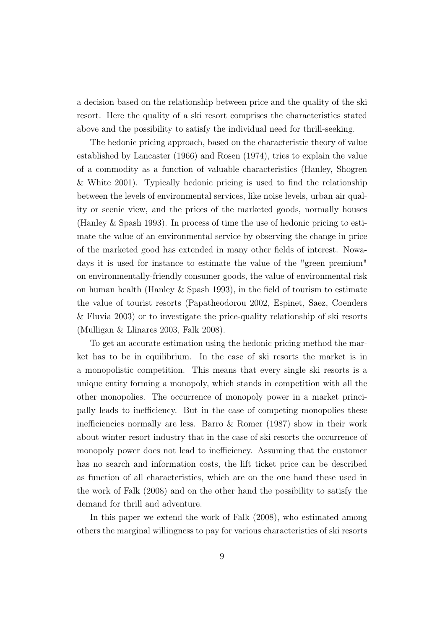a decision based on the relationship between price and the quality of the ski resort. Here the quality of a ski resort comprises the characteristics stated above and the possibility to satisfy the individual need for thrill-seeking.

The hedonic pricing approach, based on the characteristic theory of value established by Lancaster (1966) and Rosen (1974), tries to explain the value of a commodity as a function of valuable characteristics (Hanley, Shogren & White 2001). Typically hedonic pricing is used to find the relationship between the levels of environmental services, like noise levels, urban air quality or scenic view, and the prices of the marketed goods, normally houses (Hanley & Spash 1993). In process of time the use of hedonic pricing to estimate the value of an environmental service by observing the change in price of the marketed good has extended in many other fields of interest. Nowadays it is used for instance to estimate the value of the "green premium" on environmentally-friendly consumer goods, the value of environmental risk on human health (Hanley & Spash 1993), in the field of tourism to estimate the value of tourist resorts (Papatheodorou 2002, Espinet, Saez, Coenders & Fluvia 2003) or to investigate the price-quality relationship of ski resorts (Mulligan & Llinares 2003, Falk 2008).

To get an accurate estimation using the hedonic pricing method the market has to be in equilibrium. In the case of ski resorts the market is in a monopolistic competition. This means that every single ski resorts is a unique entity forming a monopoly, which stands in competition with all the other monopolies. The occurrence of monopoly power in a market principally leads to inefficiency. But in the case of competing monopolies these inefficiencies normally are less. Barro  $\&$  Romer (1987) show in their work about winter resort industry that in the case of ski resorts the occurrence of monopoly power does not lead to inefficiency. Assuming that the customer has no search and information costs, the lift ticket price can be described as function of all characteristics, which are on the one hand these used in the work of Falk (2008) and on the other hand the possibility to satisfy the demand for thrill and adventure.

In this paper we extend the work of Falk (2008), who estimated among others the marginal willingness to pay for various characteristics of ski resorts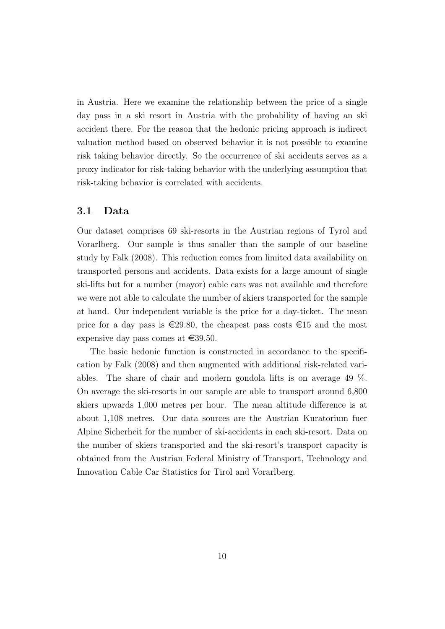in Austria. Here we examine the relationship between the price of a single day pass in a ski resort in Austria with the probability of having an ski accident there. For the reason that the hedonic pricing approach is indirect valuation method based on observed behavior it is not possible to examine risk taking behavior directly. So the occurrence of ski accidents serves as a proxy indicator for risk-taking behavior with the underlying assumption that risk-taking behavior is correlated with accidents.

#### 3.1 Data

Our dataset comprises 69 ski-resorts in the Austrian regions of Tyrol and Vorarlberg. Our sample is thus smaller than the sample of our baseline study by Falk (2008). This reduction comes from limited data availability on transported persons and accidents. Data exists for a large amount of single ski-lifts but for a number (mayor) cable cars was not available and therefore we were not able to calculate the number of skiers transported for the sample at hand. Our independent variable is the price for a day-ticket. The mean price for a day pass is  $\epsilon$ 29.80, the cheapest pass costs  $\epsilon$ 15 and the most expensive day pass comes at  $\text{\textsterling}39.50$ .

The basic hedonic function is constructed in accordance to the specification by Falk (2008) and then augmented with additional risk-related variables. The share of chair and modern gondola lifts is on average 49 %. On average the ski-resorts in our sample are able to transport around 6,800 skiers upwards 1,000 metres per hour. The mean altitude difference is at about 1,108 metres. Our data sources are the Austrian Kuratorium fuer Alpine Sicherheit for the number of ski-accidents in each ski-resort. Data on the number of skiers transported and the ski-resort's transport capacity is obtained from the Austrian Federal Ministry of Transport, Technology and Innovation Cable Car Statistics for Tirol and Vorarlberg.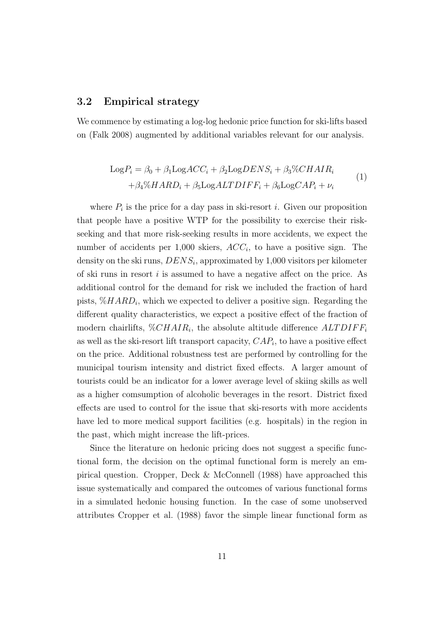#### 3.2 Empirical strategy

We commence by estimating a log-log hedonic price function for ski-lifts based on (Falk 2008) augmented by additional variables relevant for our analysis.

$$
Log P_i = \beta_0 + \beta_1 LogACC_i + \beta_2 LogDENS_i + \beta_3 \%CHAIR_i
$$
  
+  $\beta_4 \% HARD_i + \beta_5 LogALTDIFF_i + \beta_6 LogCAP_i + \nu_i$  (1)

where  $P_i$  is the price for a day pass in ski-resort *i*. Given our proposition that people have a positive WTP for the possibility to exercise their riskseeking and that more risk-seeking results in more accidents, we expect the number of accidents per 1,000 skiers,  $ACC<sub>i</sub>$ , to have a positive sign. The density on the ski runs,  $DENS_i$ , approximated by 1,000 visitors per kilometer of ski runs in resort i is assumed to have a negative affect on the price. As additional control for the demand for risk we included the fraction of hard pists,  $\% HARD_i$ , which we expected to deliver a positive sign. Regarding the different quality characteristics, we expect a positive effect of the fraction of modern chairlifts,  $\%CHAIR_i$ , the absolute altitude difference  $ALTDIFF_i$ as well as the ski-resort lift transport capacity,  $CAP_i$ , to have a positive effect on the price. Additional robustness test are performed by controlling for the municipal tourism intensity and district fixed effects. A larger amount of tourists could be an indicator for a lower average level of skiing skills as well as a higher comsumption of alcoholic beverages in the resort. District fixed effects are used to control for the issue that ski-resorts with more accidents have led to more medical support facilities (e.g. hospitals) in the region in the past, which might increase the lift-prices.

Since the literature on hedonic pricing does not suggest a specific functional form, the decision on the optimal functional form is merely an empirical question. Cropper, Deck & McConnell (1988) have approached this issue systematically and compared the outcomes of various functional forms in a simulated hedonic housing function. In the case of some unobserved attributes Cropper et al. (1988) favor the simple linear functional form as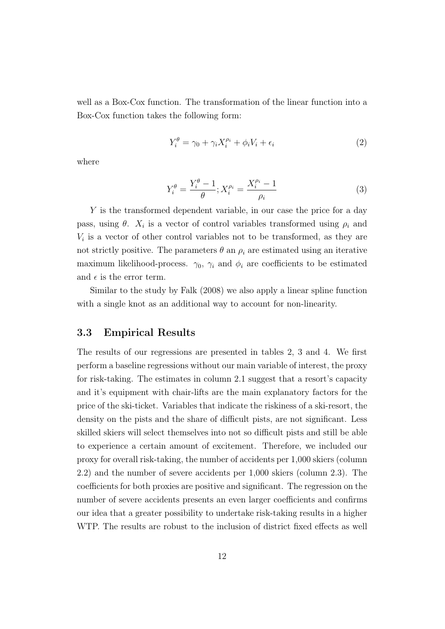well as a Box-Cox function. The transformation of the linear function into a Box-Cox function takes the following form:

$$
Y_i^{\theta} = \gamma_0 + \gamma_i X_i^{\rho_i} + \phi_i V_i + \epsilon_i \tag{2}
$$

where

$$
Y_i^{\theta} = \frac{Y_i^{\theta} - 1}{\theta}; X_i^{\rho_i} = \frac{X_i^{\rho_i} - 1}{\rho_i}
$$
 (3)

Y is the transformed dependent variable, in our case the price for a day pass, using  $\theta$ .  $X_i$  is a vector of control variables transformed using  $\rho_i$  and  $V_i$  is a vector of other control variables not to be transformed, as they are not strictly positive. The parameters  $\theta$  an  $\rho_i$  are estimated using an iterative maximum likelihood-process.  $\gamma_0$ ,  $\gamma_i$  and  $\phi_i$  are coefficients to be estimated and  $\epsilon$  is the error term.

Similar to the study by Falk (2008) we also apply a linear spline function with a single knot as an additional way to account for non-linearity.

#### 3.3 Empirical Results

The results of our regressions are presented in tables 2, 3 and 4. We first perform a baseline regressions without our main variable of interest, the proxy for risk-taking. The estimates in column 2.1 suggest that a resort's capacity and it's equipment with chair-lifts are the main explanatory factors for the price of the ski-ticket. Variables that indicate the riskiness of a ski-resort, the density on the pists and the share of difficult pists, are not significant. Less skilled skiers will select themselves into not so difficult pists and still be able to experience a certain amount of excitement. Therefore, we included our proxy for overall risk-taking, the number of accidents per 1,000 skiers (column 2.2) and the number of severe accidents per 1,000 skiers (column 2.3). The coefficients for both proxies are positive and significant. The regression on the number of severe accidents presents an even larger coefficients and confirms our idea that a greater possibility to undertake risk-taking results in a higher WTP. The results are robust to the inclusion of district fixed effects as well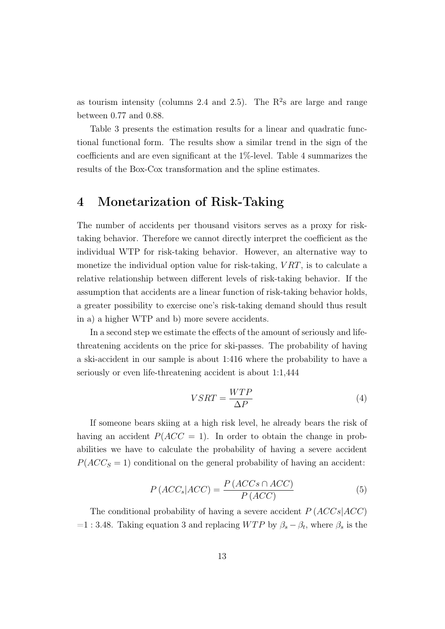as tourism intensity (columns 2.4 and 2.5). The  $R^2$ s are large and range between 0.77 and 0.88.

Table 3 presents the estimation results for a linear and quadratic functional functional form. The results show a similar trend in the sign of the coefficients and are even significant at the 1%-level. Table 4 summarizes the results of the Box-Cox transformation and the spline estimates.

### 4 Monetarization of Risk-Taking

The number of accidents per thousand visitors serves as a proxy for risktaking behavior. Therefore we cannot directly interpret the coefficient as the individual WTP for risk-taking behavior. However, an alternative way to monetize the individual option value for risk-taking,  $VRT$ , is to calculate a relative relationship between different levels of risk-taking behavior. If the assumption that accidents are a linear function of risk-taking behavior holds, a greater possibility to exercise one's risk-taking demand should thus result in a) a higher WTP and b) more severe accidents.

In a second step we estimate the effects of the amount of seriously and lifethreatening accidents on the price for ski-passes. The probability of having a ski-accident in our sample is about 1:416 where the probability to have a seriously or even life-threatening accident is about 1:1,444

$$
VSRT = \frac{WTP}{\Delta P} \tag{4}
$$

If someone bears skiing at a high risk level, he already bears the risk of having an accident  $P(ACC = 1)$ . In order to obtain the change in probabilities we have to calculate the probability of having a severe accident  $P(ACC<sub>S</sub> = 1)$  conditional on the general probability of having an accident:

$$
P\left(ACC_s|ACC\right) = \frac{P\left(ACCs \cap ACC\right)}{P\left(ACC\right)}\tag{5}
$$

The conditional probability of having a severe accident  $P (ACCs|ACC)$ =1 : 3.48. Taking equation 3 and replacing  $WTP$  by  $\beta_s - \beta_t$ , where  $\beta_s$  is the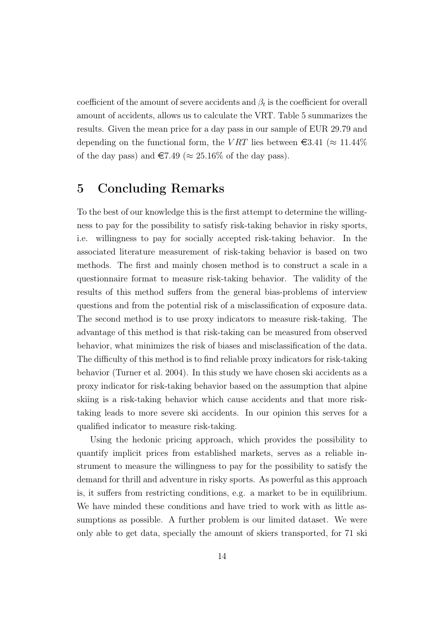coefficient of the amount of severe accidents and  $\beta_t$  is the coefficient for overall amount of accidents, allows us to calculate the VRT. Table 5 summarizes the results. Given the mean price for a day pass in our sample of EUR 29.79 and depending on the functional form, the VRT lies between  $\epsilon$ 3.41 ( $\approx$  11.44%) of the day pass) and  $\in 7.49 \approx 25.16\%$  of the day pass).

### 5 Concluding Remarks

To the best of our knowledge this is the first attempt to determine the willingness to pay for the possibility to satisfy risk-taking behavior in risky sports, i.e. willingness to pay for socially accepted risk-taking behavior. In the associated literature measurement of risk-taking behavior is based on two methods. The first and mainly chosen method is to construct a scale in a questionnaire format to measure risk-taking behavior. The validity of the results of this method suffers from the general bias-problems of interview questions and from the potential risk of a misclassification of exposure data. The second method is to use proxy indicators to measure risk-taking. The advantage of this method is that risk-taking can be measured from observed behavior, what minimizes the risk of biases and misclassification of the data. The difficulty of this method is to find reliable proxy indicators for risk-taking behavior (Turner et al. 2004). In this study we have chosen ski accidents as a proxy indicator for risk-taking behavior based on the assumption that alpine skiing is a risk-taking behavior which cause accidents and that more risktaking leads to more severe ski accidents. In our opinion this serves for a qualified indicator to measure risk-taking.

Using the hedonic pricing approach, which provides the possibility to quantify implicit prices from established markets, serves as a reliable instrument to measure the willingness to pay for the possibility to satisfy the demand for thrill and adventure in risky sports. As powerful as this approach is, it suffers from restricting conditions, e.g. a market to be in equilibrium. We have minded these conditions and have tried to work with as little assumptions as possible. A further problem is our limited dataset. We were only able to get data, specially the amount of skiers transported, for 71 ski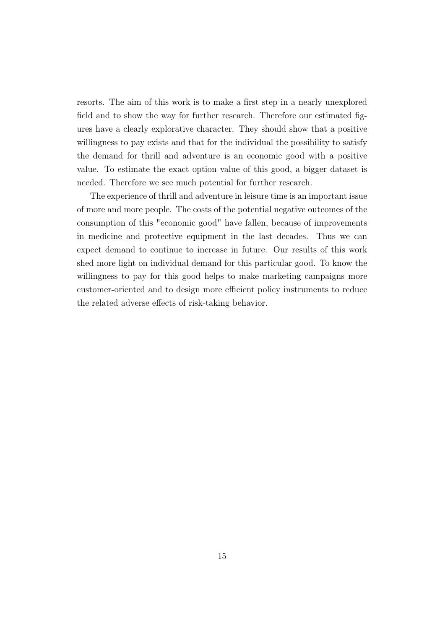resorts. The aim of this work is to make a first step in a nearly unexplored field and to show the way for further research. Therefore our estimated figures have a clearly explorative character. They should show that a positive willingness to pay exists and that for the individual the possibility to satisfy the demand for thrill and adventure is an economic good with a positive value. To estimate the exact option value of this good, a bigger dataset is needed. Therefore we see much potential for further research.

The experience of thrill and adventure in leisure time is an important issue of more and more people. The costs of the potential negative outcomes of the consumption of this "economic good" have fallen, because of improvements in medicine and protective equipment in the last decades. Thus we can expect demand to continue to increase in future. Our results of this work shed more light on individual demand for this particular good. To know the willingness to pay for this good helps to make marketing campaigns more customer-oriented and to design more efficient policy instruments to reduce the related adverse effects of risk-taking behavior.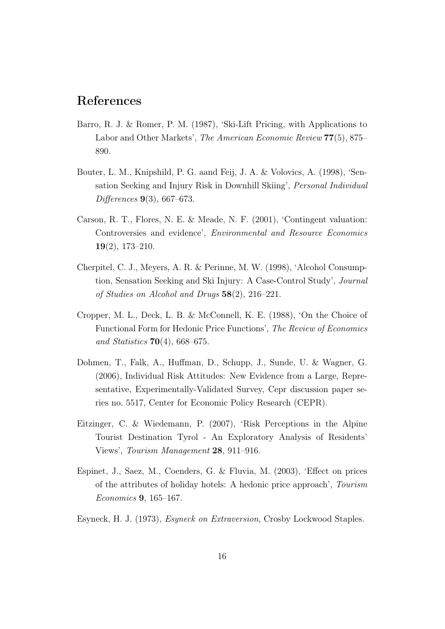## References

- Barro, R. J. & Romer, P. M. (1987), 'Ski-Lift Pricing, with Applications to Labor and Other Markets', The American Economic Review 77(5), 875– 890.
- Bouter, L. M., Knipshild, P. G. aand Feij, J. A. & Volovics, A. (1998), 'Sensation Seeking and Injury Risk in Downhill Skiing', Personal Individual Differences 9(3), 667–673.
- Carson, R. T., Flores, N. E. & Meade, N. F. (2001), 'Contingent valuation: Controversies and evidence', Environmental and Resource Economics 19(2), 173–210.
- Cherpitel, C. J., Meyers, A. R. & Perinne, M. W. (1998), 'Alcohol Consumption, Sensation Seeking and Ski Injury: A Case-Control Study', Journal of Studies on Alcohol and Drugs 58(2), 216–221.
- Cropper, M. L., Deck, L. B. & McConnell, K. E. (1988), 'On the Choice of Functional Form for Hedonic Price Functions', The Review of Economics and Statistics  $70(4)$ , 668–675.
- Dohmen, T., Falk, A., Huffman, D., Schupp, J., Sunde, U. & Wagner, G. (2006), Individual Risk Attitudes: New Evidence from a Large, Representative, Experimentally-Validated Survey, Cepr discussion paper series no. 5517, Center for Economic Policy Research (CEPR).
- Eitzinger, C. & Wiedemann, P. (2007), 'Risk Perceptions in the Alpine Tourist Destination Tyrol - An Exploratory Analysis of Residents' Views', Tourism Management 28, 911–916.
- Espinet, J., Saez, M., Coenders, G. & Fluvia, M. (2003), 'Effect on prices of the attributes of holiday hotels: A hedonic price approach', Tourism Economics 9, 165–167.
- Esyneck, H. J. (1973), Esyneck on Extraversion, Crosby Lockwood Staples.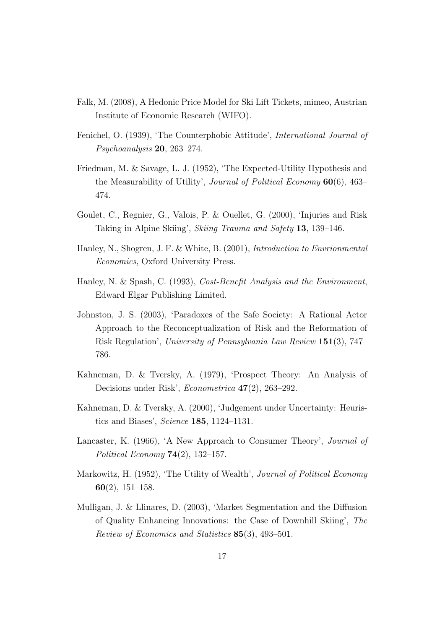- Falk, M. (2008), A Hedonic Price Model for Ski Lift Tickets, mimeo, Austrian Institute of Economic Research (WIFO).
- Fenichel, O. (1939), 'The Counterphobic Attitude', International Journal of Psychoanalysis 20, 263–274.
- Friedman, M. & Savage, L. J. (1952), 'The Expected-Utility Hypothesis and the Measurability of Utility', Journal of Political Economy 60(6), 463– 474.
- Goulet, C., Regnier, G., Valois, P. & Ouellet, G. (2000), 'Injuries and Risk Taking in Alpine Skiing', Skiing Trauma and Safety 13, 139–146.
- Hanley, N., Shogren, J. F. & White, B. (2001), Introduction to Envrionmental Economics, Oxford University Press.
- Hanley, N. & Spash, C. (1993), Cost-Benefit Analysis and the Environment, Edward Elgar Publishing Limited.
- Johnston, J. S. (2003), 'Paradoxes of the Safe Society: A Rational Actor Approach to the Reconceptualization of Risk and the Reformation of Risk Regulation', University of Pennsylvania Law Review 151(3), 747– 786.
- Kahneman, D. & Tversky, A. (1979), 'Prospect Theory: An Analysis of Decisions under Risk', Econometrica 47(2), 263–292.
- Kahneman, D. & Tversky, A. (2000), 'Judgement under Uncertainty: Heuristics and Biases', Science 185, 1124–1131.
- Lancaster, K. (1966), 'A New Approach to Consumer Theory', *Journal of* Political Economy  $74(2)$ , 132-157.
- Markowitz, H. (1952), 'The Utility of Wealth', Journal of Political Economy 60(2), 151–158.
- Mulligan, J. & Llinares, D. (2003), 'Market Segmentation and the Diffusion of Quality Enhancing Innovations: the Case of Downhill Skiing', The Review of Economics and Statistics 85(3), 493–501.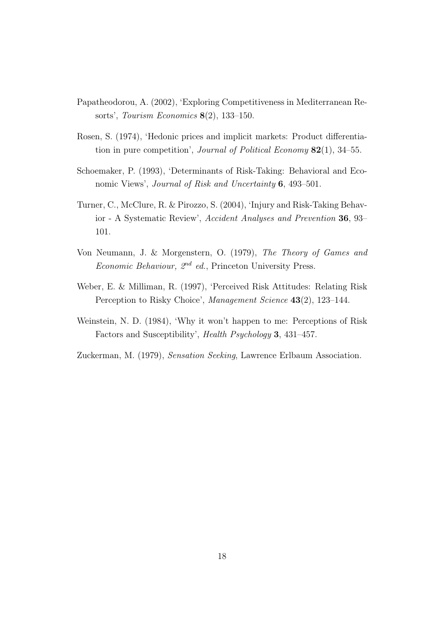- Papatheodorou, A. (2002), 'Exploring Competitiveness in Mediterranean Resorts', Tourism Economics  $8(2)$ , 133-150.
- Rosen, S. (1974), 'Hedonic prices and implicit markets: Product differentiation in pure competition', *Journal of Political Economy*  $82(1)$ , 34–55.
- Schoemaker, P. (1993), 'Determinants of Risk-Taking: Behavioral and Economic Views', Journal of Risk and Uncertainty 6, 493-501.
- Turner, C., McClure, R. & Pirozzo, S. (2004), 'Injury and Risk-Taking Behavior - A Systematic Review', Accident Analyses and Prevention 36, 93– 101.
- Von Neumann, J. & Morgenstern, O. (1979), The Theory of Games and Economic Behaviour,  $2^{nd}$  ed., Princeton University Press.
- Weber, E. & Milliman, R. (1997), 'Perceived Risk Attitudes: Relating Risk Perception to Risky Choice', Management Science 43(2), 123-144.
- Weinstein, N. D. (1984), 'Why it won't happen to me: Perceptions of Risk Factors and Susceptibility', Health Psychology 3, 431–457.
- Zuckerman, M. (1979), Sensation Seeking, Lawrence Erlbaum Association.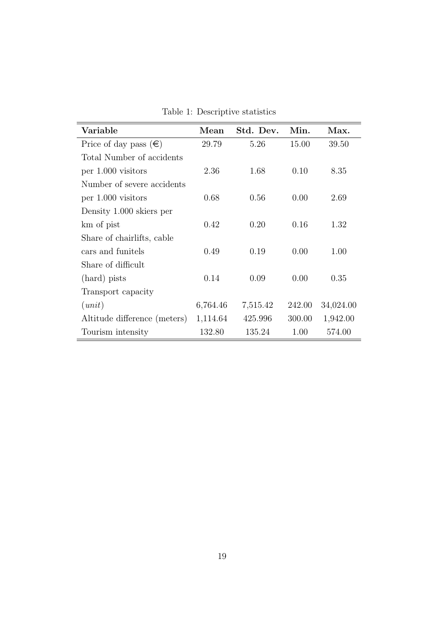| Variable                       | $\operatorname{Mean}$ | Std. Dev. | Min.   | Max.      |
|--------------------------------|-----------------------|-----------|--------|-----------|
| Price of day pass $(\epsilon)$ | 29.79                 | 5.26      | 15.00  | 39.50     |
| Total Number of accidents      |                       |           |        |           |
| per 1.000 visitors             | 2.36                  | 1.68      | 0.10   | 8.35      |
| Number of severe accidents     |                       |           |        |           |
| per 1.000 visitors             | 0.68                  | 0.56      | 0.00   | 2.69      |
| Density 1.000 skiers per       |                       |           |        |           |
| km of pist                     | 0.42                  | 0.20      | 0.16   | 1.32      |
| Share of chairlifts, cable     |                       |           |        |           |
| cars and funitels              | 0.49                  | 0.19      | 0.00   | 1.00      |
| Share of difficult             |                       |           |        |           |
| (hard) pists                   | 0.14                  | 0.09      | 0.00   | 0.35      |
| Transport capacity             |                       |           |        |           |
| (unit)                         | 6,764.46              | 7,515.42  | 242.00 | 34,024.00 |
| Altitude difference (meters)   | 1,114.64              | 425.996   | 300.00 | 1,942.00  |
| Tourism intensity              | 132.80                | 135.24    | 1.00   | 574.00    |

Table 1: Descriptive statistics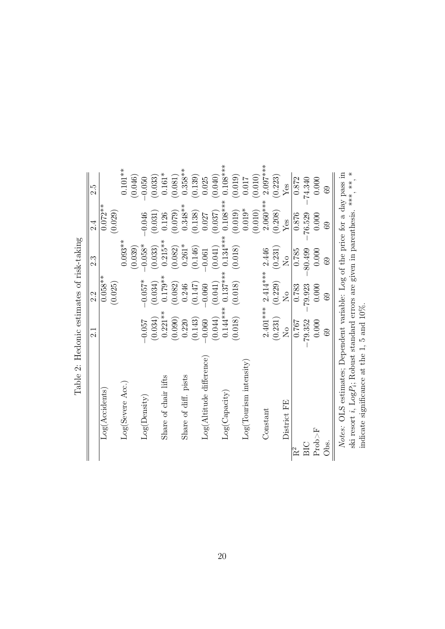| able 2. Incommonation of the case of                                                      |                                      |                     |               |             |            |
|-------------------------------------------------------------------------------------------|--------------------------------------|---------------------|---------------|-------------|------------|
|                                                                                           | 2.1                                  | 2.2                 | 2.3           | 2.4         | 2.5        |
| Log(Accidents)                                                                            |                                      | $0.058**$           |               | $0.072**$   |            |
|                                                                                           |                                      | (0.025)             |               | (0.029)     |            |
| Log(Severe Acc.)                                                                          |                                      |                     | $0.093**$     |             | $0.101***$ |
|                                                                                           |                                      |                     | (0.039)       |             | (0.046)    |
| Log(Density)                                                                              | 750.0                                | $-0.057*$           | $-0.058*$     | $-0.046$    | $-0.050$   |
|                                                                                           | (0.034)                              | (0.034)             | (0.033)       | (0.031)     | (0.033)    |
| Share of chair lifts                                                                      | $0.221***$                           | $0.179**$           | $0.215**$     | 0.126       | $0.161*$   |
|                                                                                           | (0.090)                              | (0.082)             | (0.082)       | (0.079)     | (0.081)    |
| Share of diff. pists                                                                      | 0.220                                | 0.246               | $0.261*$      | $0.348**$   | $0.358**$  |
|                                                                                           | (0.143)                              | (0.147)             | (0.146)       | (0.138)     | (0.139)    |
| Log(Altitude difference)                                                                  | $-0.060$                             | $-0.060$            | $-0.061$      | 0.027       | 0.025      |
|                                                                                           | (0.044)                              | (0.041)             | (0.041)       | (0.037)     | (0.040)    |
| Log(Capacity)                                                                             | $0.144***$                           | $0.137***$          | $0.134***$    | $0.108***$  | $0.108***$ |
|                                                                                           | (0.018)                              | (0.018)             | (0.018)       | (0.019)     | (0.019)    |
| $Log(Tourism\ intensity)$                                                                 |                                      |                     |               | $0.019*$    | 0.017      |
|                                                                                           |                                      |                     |               | (0.010)     | (0.010)    |
| $\mbox{Constant}$                                                                         | $2.401***$                           | $2.414***$          | 2.446         | $2.060***$  | $2.097***$ |
|                                                                                           | (0.231)                              | (0.229)             | (0.231)       | (0.208)     | (0.223)    |
| District FE                                                                               | $\overline{\mathsf{X}}^{\mathsf{o}}$ | $\overline{\Sigma}$ | $\frac{1}{2}$ | ${\rm Yes}$ | $Y$ es     |
| $R^2$                                                                                     | 0.767                                | 0.783               | 0.785         | 0.876       | 0.872      |
| ВIС                                                                                       | 79.352                               | 79.923              | 80.499        | 76.529      | 74.340     |
| Proof F                                                                                   | 0.000                                | 0.000               | 0.000         | 0.000       | 0.000      |
| Obs.                                                                                      | ශි                                   | සි                  | 69            | 69          | 89         |
| Notes: OLS estimates; Dependent variable: Log of the price for a day pass in              |                                      |                     |               |             |            |
| ski resort <i>i</i> , $Log P_i$ ; Robust standard errors are given in parenthesis. *** *, |                                      |                     |               |             | $*$        |
| indicate significance at the 1, 5 and $10\%$ .                                            |                                      |                     |               |             |            |
|                                                                                           |                                      |                     |               |             |            |

Table 2: Hedonic estimates of risk-taking Table 2: Hedonic estimates of risk-taking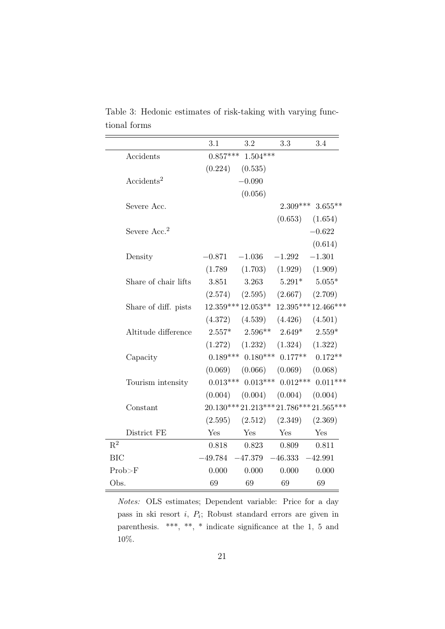|                          | 3.1        | 3.2                                        | 3.3                           | 3.4                                    |
|--------------------------|------------|--------------------------------------------|-------------------------------|----------------------------------------|
| Accidents                | $0.857***$ | $1.504***$                                 |                               |                                        |
|                          | (0.224)    | (0.535)                                    |                               |                                        |
| Accidents <sup>2</sup>   |            | $-0.090$                                   |                               |                                        |
|                          |            | (0.056)                                    |                               |                                        |
| Severe Acc.              |            |                                            |                               | $2.309***$ 3.655**                     |
|                          |            |                                            |                               | $(0.653)$ $(1.654)$                    |
| Severe Acc. <sup>2</sup> |            |                                            |                               | $-0.622$                               |
|                          |            |                                            |                               | (0.614)                                |
| Density                  | $-0.871$   | $-1.036$                                   | $-1.292$                      | $-1.301$                               |
|                          | (1.789)    | (1.703)                                    | (1.929)                       | (1.909)                                |
| Share of chair lifts     | 3.851      | 3.263                                      | $5.291*$                      | $5.055*$                               |
|                          | (2.574)    |                                            | $(2.595)$ $(2.667)$ $(2.709)$ |                                        |
| Share of diff. pists     |            |                                            |                               | $12.359***12.053***12.395***12.466***$ |
|                          |            | $(4.372)$ $(4.539)$ $(4.426)$ $(4.501)$    |                               |                                        |
| Altitude difference      |            | $2.557^*$ $2.596^{**}$ $2.649^*$ $2.559^*$ |                               |                                        |
|                          | (1.272)    | (1.232)                                    | (1.324)                       | (1.322)                                |
| Capacity                 |            | $0.189***$ $0.180***$ $0.177**$            |                               | $0.172**$                              |
|                          | (0.069)    | (0.066)                                    | (0.069)                       | (0.068)                                |
| Tourism intensity        |            | $0.013***$ $0.013***$                      | $0.012***$                    | $0.011***$                             |
|                          | (0.004)    |                                            | $(0.004)$ $(0.004)$           | (0.004)                                |
| Constant                 |            |                                            |                               | $20.130***21.213***21.786***21.565***$ |
|                          | (2.595)    | (2.512)                                    | (2.349)                       | (2.369)                                |
| District FE              | Yes        | Yes                                        | Yes                           | Yes                                    |
| $R^2$                    | 0.818      | 0.823                                      | 0.809                         | 0.811                                  |
| <b>BIC</b>               | $-49.784$  | $-47.379 -46.333$                          |                               | $-42.991$                              |
| Prob>F                   | 0.000      | 0.000                                      | 0.000                         | 0.000                                  |
| Obs.                     | 69         | 69                                         | 69                            | 69                                     |

Table 3: Hedonic estimates of risk-taking with varying functional forms

Notes: OLS estimates; Dependent variable: Price for a day pass in ski resort i, P<sup>i</sup> ; Robust standard errors are given in parenthesis. \*\*\*, \*\*, \* indicate significance at the 1, 5 and 10%.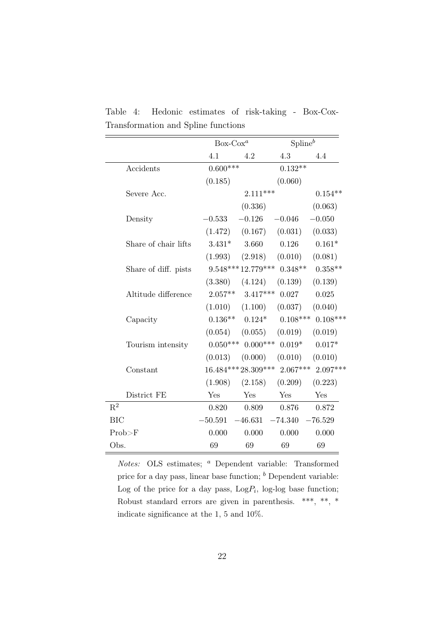|                      | $Box-Cox^a$ |                     | Spline <sup>b</sup>            |                                           |
|----------------------|-------------|---------------------|--------------------------------|-------------------------------------------|
|                      | 4.1         | 4.2                 | 4.3                            | 4.4                                       |
| Accidents            | $0.600***$  |                     | $0.132**$                      |                                           |
|                      | (0.185)     |                     | (0.060)                        |                                           |
| Severe Acc.          |             | $2.111***$          |                                | $0.154**$                                 |
|                      |             | (0.336)             |                                | (0.063)                                   |
| Density              | $-0.533$    | $-0.126$            | $-0.046$                       | $-0.050$                                  |
|                      | (1.472)     |                     | $(0.167)$ $(0.031)$            | (0.033)                                   |
| Share of chair lifts | $3.431*$    | 3.660               | 0.126                          | $0.161*$                                  |
|                      |             | $(1.993)$ $(2.918)$ | (0.010)                        | (0.081)                                   |
| Share of diff. pists |             |                     | $9.548***12.779***$ 0.348**    | $0.358**$                                 |
|                      |             |                     | $(3.380)$ $(4.124)$ $(0.139)$  | (0.139)                                   |
| Altitude difference  |             | $2.057**$ 3.417***  | 0.027                          | 0.025                                     |
|                      |             |                     | $(1.010)$ $(1.100)$ $(0.037)$  | (0.040)                                   |
| Capacity             |             |                     |                                | $0.136***$ $0.124*$ $0.108***$ $0.108***$ |
|                      | (0.054)     | (0.055)             | (0.019)                        | (0.019)                                   |
| Tourism intensity    |             |                     | $0.050***$ $0.000***$ $0.019*$ | $0.017*$                                  |
|                      | (0.013)     | (0.000)             | (0.010)                        | (0.010)                                   |
| Constant             |             |                     |                                | $16.484***28.309***2.067***2.097***$      |
|                      | (1.908)     | (2.158)             | (0.209)                        | (0.223)                                   |
| District FE          | Yes         | Yes                 | Yes                            | Yes                                       |
| $R^2$                | 0.820       | 0.809               | 0.876                          | 0.872                                     |
| <b>BIC</b>           | $-50.591$   | $-46.631$           | $-74.340$                      | $-76.529$                                 |
| Prob>F               | 0.000       | 0.000               | 0.000                          | 0.000                                     |
| Obs.                 | 69          | 69                  | 69                             | 69                                        |

Table 4: Hedonic estimates of risk-taking - Box-Cox-Transformation and Spline functions

Notes: OLS estimates; <sup>a</sup> Dependent variable: Transformed price for a day pass, linear base function;  $<sup>b</sup>$  Dependent variable:</sup> Log of the price for a day pass,  $Log P_i$ , log-log base function; Robust standard errors are given in parenthesis. \*\*\*, \*\*, \* indicate significance at the 1, 5 and 10%.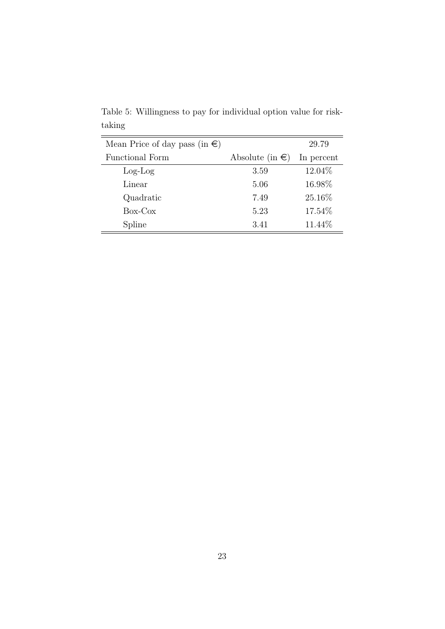| Mean Price of day pass (in $\epsilon$ ) |                           | 29.79      |
|-----------------------------------------|---------------------------|------------|
| Functional Form                         | Absolute (in $\epsilon$ ) | In percent |
| $Log-Log$                               | 3.59                      | 12.04\%    |
| Linear                                  | 5.06                      | 16.98%     |
| Quadratic                               | 7.49                      | 25.16\%    |
| $Box-Cox$                               | 5.23                      | 17.54\%    |
| Spline                                  | 3.41                      | 11.44\%    |

Table 5: Willingness to pay for individual option value for risktaking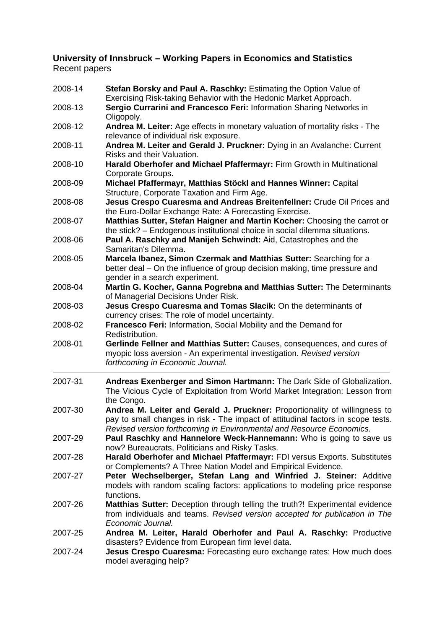### **University of Innsbruck – Working Papers in Economics and Statistics**  Recent papers

| 2008-14 | Stefan Borsky and Paul A. Raschky: Estimating the Option Value of<br>Exercising Risk-taking Behavior with the Hedonic Market Approach.                                                                                                 |
|---------|----------------------------------------------------------------------------------------------------------------------------------------------------------------------------------------------------------------------------------------|
| 2008-13 | Sergio Currarini and Francesco Feri: Information Sharing Networks in<br>Oligopoly.                                                                                                                                                     |
| 2008-12 | Andrea M. Leiter: Age effects in monetary valuation of mortality risks - The<br>relevance of individual risk exposure.                                                                                                                 |
| 2008-11 | Andrea M. Leiter and Gerald J. Pruckner: Dying in an Avalanche: Current<br>Risks and their Valuation.                                                                                                                                  |
| 2008-10 | Harald Oberhofer and Michael Pfaffermayr: Firm Growth in Multinational<br>Corporate Groups.                                                                                                                                            |
| 2008-09 | Michael Pfaffermayr, Matthias Stöckl and Hannes Winner: Capital<br>Structure, Corporate Taxation and Firm Age.                                                                                                                         |
| 2008-08 | Jesus Crespo Cuaresma and Andreas Breitenfellner: Crude Oil Prices and<br>the Euro-Dollar Exchange Rate: A Forecasting Exercise.                                                                                                       |
| 2008-07 | Matthias Sutter, Stefan Haigner and Martin Kocher: Choosing the carrot or<br>the stick? - Endogenous institutional choice in social dilemma situations.                                                                                |
| 2008-06 | Paul A. Raschky and Manijeh Schwindt: Aid, Catastrophes and the<br>Samaritan's Dilemma.                                                                                                                                                |
| 2008-05 | Marcela Ibanez, Simon Czermak and Matthias Sutter: Searching for a<br>better deal – On the influence of group decision making, time pressure and<br>gender in a search experiment.                                                     |
| 2008-04 | Martin G. Kocher, Ganna Pogrebna and Matthias Sutter: The Determinants<br>of Managerial Decisions Under Risk.                                                                                                                          |
| 2008-03 | Jesus Crespo Cuaresma and Tomas Slacik: On the determinants of<br>currency crises: The role of model uncertainty.                                                                                                                      |
| 2008-02 | Francesco Feri: Information, Social Mobility and the Demand for<br>Redistribution.                                                                                                                                                     |
| 2008-01 | Gerlinde Fellner and Matthias Sutter: Causes, consequences, and cures of<br>myopic loss aversion - An experimental investigation. Revised version<br>forthcoming in Economic Journal.                                                  |
| 2007-31 | Andreas Exenberger and Simon Hartmann: The Dark Side of Globalization.<br>The Vicious Cycle of Exploitation from World Market Integration: Lesson from<br>the Congo.                                                                   |
| 2007-30 | Andrea M. Leiter and Gerald J. Pruckner: Proportionality of willingness to<br>pay to small changes in risk - The impact of attitudinal factors in scope tests.<br>Revised version forthcoming in Environmental and Resource Economics. |
| 2007-29 | Paul Raschky and Hannelore Weck-Hannemann: Who is going to save us<br>now? Bureaucrats, Politicians and Risky Tasks.                                                                                                                   |
| 2007-28 | Harald Oberhofer and Michael Pfaffermayr: FDI versus Exports. Substitutes<br>or Complements? A Three Nation Model and Empirical Evidence.                                                                                              |
| 2007-27 | Peter Wechselberger, Stefan Lang and Winfried J. Steiner: Additive<br>models with random scaling factors: applications to modeling price response<br>functions.                                                                        |
| 2007-26 | <b>Matthias Sutter:</b> Deception through telling the truth?! Experimental evidence<br>from individuals and teams. Revised version accepted for publication in The<br>Economic Journal.                                                |
| 2007-25 | Andrea M. Leiter, Harald Oberhofer and Paul A. Raschky: Productive<br>disasters? Evidence from European firm level data.                                                                                                               |
| 2007-24 | Jesus Crespo Cuaresma: Forecasting euro exchange rates: How much does<br>model averaging help?                                                                                                                                         |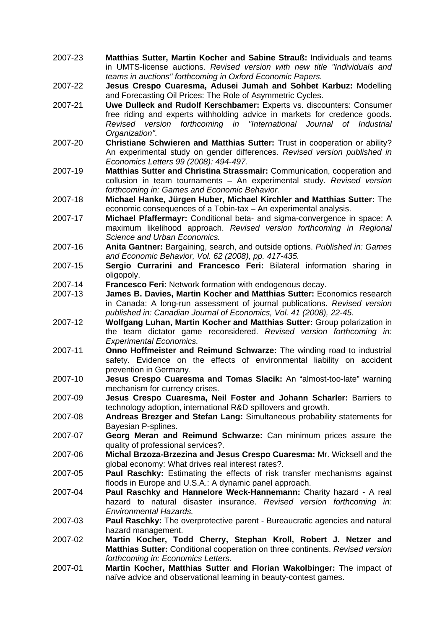- 2007-23 **Matthias Sutter, Martin Kocher and Sabine Strauß:** Individuals and teams in UMTS-license auctions. *Revised version with new title "Individuals and teams in auctions" forthcoming in Oxford Economic Papers.*
- 2007-22 **Jesus Crespo Cuaresma, Adusei Jumah and Sohbet Karbuz:** Modelling and Forecasting Oil Prices: The Role of Asymmetric Cycles.
- 2007-21 **Uwe Dulleck and Rudolf Kerschbamer:** Experts vs. discounters: Consumer free riding and experts withholding advice in markets for credence goods. *Revised version forthcoming in "International Journal of Industrial Organization".*
- 2007-20 **Christiane Schwieren and Matthias Sutter:** Trust in cooperation or ability? An experimental study on gender differences*. Revised version published in Economics Letters 99 (2008): 494-497.*
- 2007-19 **Matthias Sutter and Christina Strassmair:** Communication, cooperation and collusion in team tournaments – An experimental study. *Revised version forthcoming in: Games and Economic Behavior.*
- 2007-18 **Michael Hanke, Jürgen Huber, Michael Kirchler and Matthias Sutter:** The economic consequences of a Tobin-tax – An experimental analysis.
- 2007-17 **Michael Pfaffermayr:** Conditional beta- and sigma-convergence in space: A maximum likelihood approach. *Revised version forthcoming in Regional Science and Urban Economics.*
- 2007-16 **Anita Gantner:** Bargaining, search, and outside options. *Published in: Games and Economic Behavior, Vol. 62 (2008), pp. 417-435.*
- 2007-15 **Sergio Currarini and Francesco Feri:** Bilateral information sharing in oligopoly.
- 2007-14 **Francesco Feri:** Network formation with endogenous decay.
- 2007-13 **James B. Davies, Martin Kocher and Matthias Sutter:** Economics research in Canada: A long-run assessment of journal publications. *Revised version published in: Canadian Journal of Economics, Vol. 41 (2008), 22-45.*
- 2007-12 **Wolfgang Luhan, Martin Kocher and Matthias Sutter:** Group polarization in the team dictator game reconsidered. *Revised version forthcoming in: Experimental Economics.*
- 2007-11 **Onno Hoffmeister and Reimund Schwarze:** The winding road to industrial safety. Evidence on the effects of environmental liability on accident prevention in Germany.
- 2007-10 **Jesus Crespo Cuaresma and Tomas Slacik:** An "almost-too-late" warning mechanism for currency crises.
- 2007-09 **Jesus Crespo Cuaresma, Neil Foster and Johann Scharler:** Barriers to technology adoption, international R&D spillovers and growth.
- 2007-08 **Andreas Brezger and Stefan Lang:** Simultaneous probability statements for Bayesian P-splines.
- 2007-07 **Georg Meran and Reimund Schwarze:** Can minimum prices assure the quality of professional services?.
- 2007-06 **Michal Brzoza-Brzezina and Jesus Crespo Cuaresma:** Mr. Wicksell and the global economy: What drives real interest rates?.
- 2007-05 **Paul Raschky:** Estimating the effects of risk transfer mechanisms against floods in Europe and U.S.A.: A dynamic panel approach.
- 2007-04 **Paul Raschky and Hannelore Weck-Hannemann:** Charity hazard A real hazard to natural disaster insurance. *Revised version forthcoming in: Environmental Hazards.*
- 2007-03 **Paul Raschky:** The overprotective parent Bureaucratic agencies and natural hazard management.
- 2007-02 **Martin Kocher, Todd Cherry, Stephan Kroll, Robert J. Netzer and Matthias Sutter:** Conditional cooperation on three continents. *Revised version forthcoming in: Economics Letters.*
- 2007-01 **Martin Kocher, Matthias Sutter and Florian Wakolbinger:** The impact of naïve advice and observational learning in beauty-contest games.